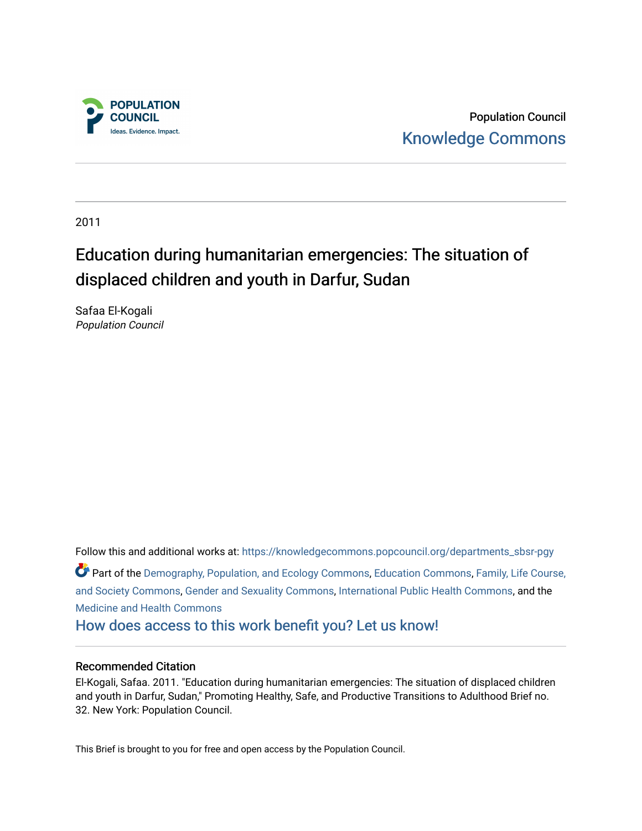

Population Council [Knowledge Commons](https://knowledgecommons.popcouncil.org/) 

2011

# Education during humanitarian emergencies: The situation of displaced children and youth in Darfur, Sudan

Safaa El-Kogali Population Council

Follow this and additional works at: [https://knowledgecommons.popcouncil.org/departments\\_sbsr-pgy](https://knowledgecommons.popcouncil.org/departments_sbsr-pgy?utm_source=knowledgecommons.popcouncil.org%2Fdepartments_sbsr-pgy%2F830&utm_medium=PDF&utm_campaign=PDFCoverPages)  Part of the [Demography, Population, and Ecology Commons,](https://network.bepress.com/hgg/discipline/418?utm_source=knowledgecommons.popcouncil.org%2Fdepartments_sbsr-pgy%2F830&utm_medium=PDF&utm_campaign=PDFCoverPages) [Education Commons,](https://network.bepress.com/hgg/discipline/784?utm_source=knowledgecommons.popcouncil.org%2Fdepartments_sbsr-pgy%2F830&utm_medium=PDF&utm_campaign=PDFCoverPages) [Family, Life Course,](https://network.bepress.com/hgg/discipline/419?utm_source=knowledgecommons.popcouncil.org%2Fdepartments_sbsr-pgy%2F830&utm_medium=PDF&utm_campaign=PDFCoverPages)  [and Society Commons](https://network.bepress.com/hgg/discipline/419?utm_source=knowledgecommons.popcouncil.org%2Fdepartments_sbsr-pgy%2F830&utm_medium=PDF&utm_campaign=PDFCoverPages), [Gender and Sexuality Commons,](https://network.bepress.com/hgg/discipline/420?utm_source=knowledgecommons.popcouncil.org%2Fdepartments_sbsr-pgy%2F830&utm_medium=PDF&utm_campaign=PDFCoverPages) [International Public Health Commons](https://network.bepress.com/hgg/discipline/746?utm_source=knowledgecommons.popcouncil.org%2Fdepartments_sbsr-pgy%2F830&utm_medium=PDF&utm_campaign=PDFCoverPages), and the [Medicine and Health Commons](https://network.bepress.com/hgg/discipline/422?utm_source=knowledgecommons.popcouncil.org%2Fdepartments_sbsr-pgy%2F830&utm_medium=PDF&utm_campaign=PDFCoverPages)  [How does access to this work benefit you? Let us know!](https://pcouncil.wufoo.com/forms/open-access-to-population-council-research/)

# Recommended Citation

El-Kogali, Safaa. 2011. "Education during humanitarian emergencies: The situation of displaced children and youth in Darfur, Sudan," Promoting Healthy, Safe, and Productive Transitions to Adulthood Brief no. 32. New York: Population Council.

This Brief is brought to you for free and open access by the Population Council.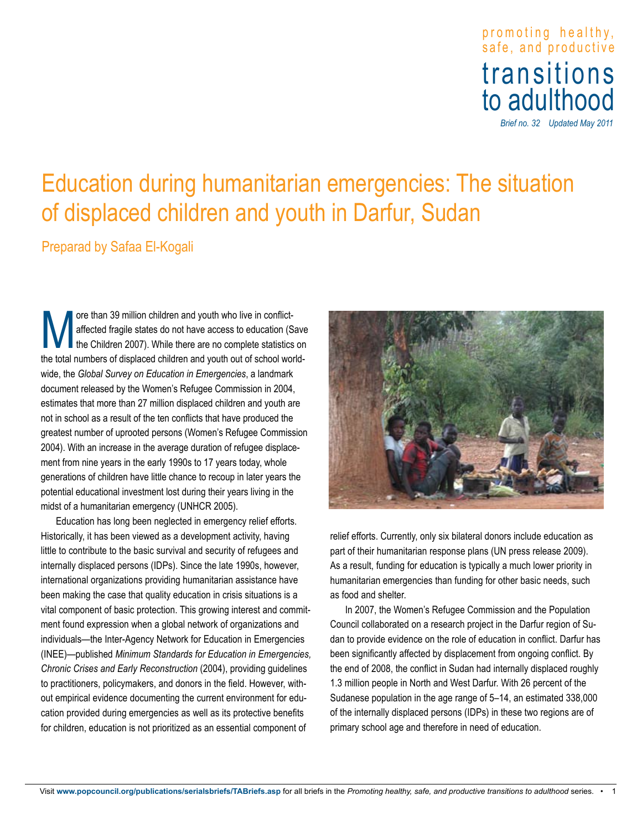# promoting healthy , safe, and productive transitions to adulthood

*Brief no. 32 Updated May 2011*

# Education during humanitarian emergencies: The situation of displaced children and youth in Darfur, Sudan

Preparad by Safaa El-Kogali

The than 39 million children and youth who live in conflict-<br>affected fragile states do not have access to education (S<br>the total numbers of displaced children and youth out of school was affected fragile states do not have access to education (Save the Children 2007). While there are no complete statistics on the total numbers of displaced children and youth out of school worldwide, the *Global Survey on Education in Emergencies*, a landmark document released by the Women's Refugee Commission in 2004, estimates that more than 27 million displaced children and youth are not in school as a result of the ten conflicts that have produced the greatest number of uprooted persons (Women's Refugee Commission 2004). With an increase in the average duration of refugee displacement from nine years in the early 1990s to 17 years today, whole generations of children have little chance to recoup in later years the potential educational investment lost during their years living in the midst of a humanitarian emergency (UNHCR 2005).

Education has long been neglected in emergency relief efforts. Historically, it has been viewed as a development activity, having little to contribute to the basic survival and security of refugees and internally displaced persons (IDPs). Since the late 1990s, however, international organizations providing humanitarian assistance have been making the case that quality education in crisis situations is a vital component of basic protection. This growing interest and commitment found expression when a global network of organizations and individuals—the Inter-Agency Network for Education in Emergencies (INEE)—published *Minimum Standards for Education in Emergencies, Chronic Crises and Early Reconstruction* (2004), providing guidelines to practitioners, policymakers, and donors in the field. However, without empirical evidence documenting the current environment for education provided during emergencies as well as its protective benefits for children, education is not prioritized as an essential component of



relief efforts. Currently, only six bilateral donors include education as part of their humanitarian response plans (UN press release 2009). As a result, funding for education is typically a much lower priority in humanitarian emergencies than funding for other basic needs, such as food and shelter.

In 2007, the Women's Refugee Commission and the Population Council collaborated on a research project in the Darfur region of Sudan to provide evidence on the role of education in conflict. Darfur has been significantly affected by displacement from ongoing conflict. By the end of 2008, the conflict in Sudan had internally displaced roughly 1.3 million people in North and West Darfur. With 26 percent of the Sudanese population in the age range of 5–14, an estimated 338,000 of the internally displaced persons (IDPs) in these two regions are of primary school age and therefore in need of education.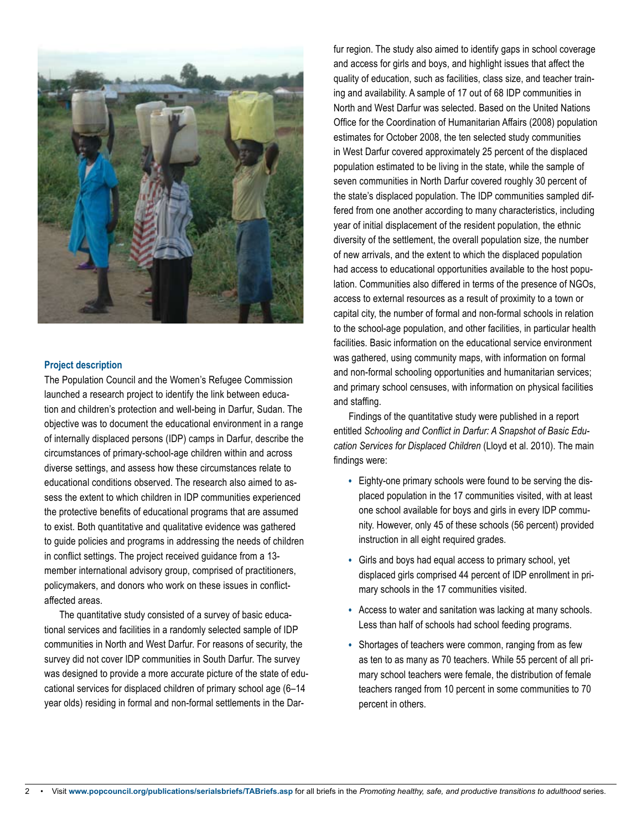

#### **Project description**

The Population Council and the Women's Refugee Commission launched a research project to identify the link between education and children's protection and well-being in Darfur, Sudan. The objective was to document the educational environment in a range of internally displaced persons (IDP) camps in Darfur, describe the circumstances of primary-school-age children within and across diverse settings, and assess how these circumstances relate to educational conditions observed. The research also aimed to assess the extent to which children in IDP communities experienced the protective benefits of educational programs that are assumed to exist. Both quantitative and qualitative evidence was gathered to guide policies and programs in addressing the needs of children in conflict settings. The project received guidance from a 13 member international advisory group, comprised of practitioners, policymakers, and donors who work on these issues in conflictaffected areas.

The quantitative study consisted of a survey of basic educational services and facilities in a randomly selected sample of IDP communities in North and West Darfur. For reasons of security, the survey did not cover IDP communities in South Darfur. The survey was designed to provide a more accurate picture of the state of educational services for displaced children of primary school age (6–14 year olds) residing in formal and non-formal settlements in the Darfur region. The study also aimed to identify gaps in school coverage and access for girls and boys, and highlight issues that affect the quality of education, such as facilities, class size, and teacher training and availability. A sample of 17 out of 68 IDP communities in North and West Darfur was selected. Based on the United Nations Office for the Coordination of Humanitarian Affairs (2008) population estimates for October 2008, the ten selected study communities in West Darfur covered approximately 25 percent of the displaced population estimated to be living in the state, while the sample of seven communities in North Darfur covered roughly 30 percent of the state's displaced population. The IDP communities sampled differed from one another according to many characteristics, including year of initial displacement of the resident population, the ethnic diversity of the settlement, the overall population size, the number of new arrivals, and the extent to which the displaced population had access to educational opportunities available to the host population. Communities also differed in terms of the presence of NGOs, access to external resources as a result of proximity to a town or capital city, the number of formal and non-formal schools in relation to the school-age population, and other facilities, in particular health facilities. Basic information on the educational service environment was gathered, using community maps, with information on formal and non-formal schooling opportunities and humanitarian services; and primary school censuses, with information on physical facilities and staffing.

Findings of the quantitative study were published in a report entitled *Schooling and Conflict in Darfur: A Snapshot of Basic Education Services for Displaced Children* (Lloyd et al. 2010). The main findings were:

- Eighty-one primary schools were found to be serving the displaced population in the 17 communities visited, with at least one school available for boys and girls in every IDP community. However, only 45 of these schools (56 percent) provided instruction in all eight required grades.
- Girls and boys had equal access to primary school, yet displaced girls comprised 44 percent of IDP enrollment in primary schools in the 17 communities visited.
- Access to water and sanitation was lacking at many schools. Less than half of schools had school feeding programs.
- Shortages of teachers were common, ranging from as few as ten to as many as 70 teachers. While 55 percent of all primary school teachers were female, the distribution of female teachers ranged from 10 percent in some communities to 70 percent in others.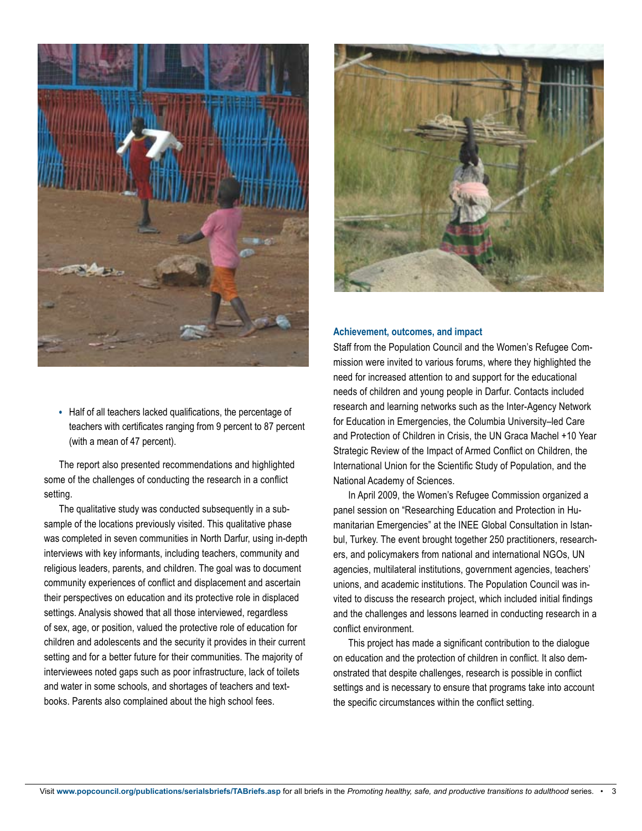

• Half of all teachers lacked qualifications, the percentage of teachers with certificates ranging from 9 percent to 87 percent (with a mean of 47 percent).

The report also presented recommendations and highlighted some of the challenges of conducting the research in a conflict setting.

The qualitative study was conducted subsequently in a subsample of the locations previously visited. This qualitative phase was completed in seven communities in North Darfur, using in-depth interviews with key informants, including teachers, community and religious leaders, parents, and children. The goal was to document community experiences of conflict and displacement and ascertain their perspectives on education and its protective role in displaced settings. Analysis showed that all those interviewed, regardless of sex, age, or position, valued the protective role of education for children and adolescents and the security it provides in their current setting and for a better future for their communities. The majority of interviewees noted gaps such as poor infrastructure, lack of toilets and water in some schools, and shortages of teachers and textbooks. Parents also complained about the high school fees.



## **Achievement, outcomes, and impact**

Staff from the Population Council and the Women's Refugee Commission were invited to various forums, where they highlighted the need for increased attention to and support for the educational needs of children and young people in Darfur. Contacts included research and learning networks such as the Inter-Agency Network for Education in Emergencies, the Columbia University–led Care and Protection of Children in Crisis, the UN Graca Machel +10 Year Strategic Review of the Impact of Armed Conflict on Children, the International Union for the Scientific Study of Population, and the National Academy of Sciences.

In April 2009, the Women's Refugee Commission organized a panel session on "Researching Education and Protection in Humanitarian Emergencies" at the INEE Global Consultation in Istanbul, Turkey. The event brought together 250 practitioners, researchers, and policymakers from national and international NGOs, UN agencies, multilateral institutions, government agencies, teachers' unions, and academic institutions. The Population Council was invited to discuss the research project, which included initial findings and the challenges and lessons learned in conducting research in a conflict environment.

This project has made a significant contribution to the dialogue on education and the protection of children in conflict. It also demonstrated that despite challenges, research is possible in conflict settings and is necessary to ensure that programs take into account the specific circumstances within the conflict setting.